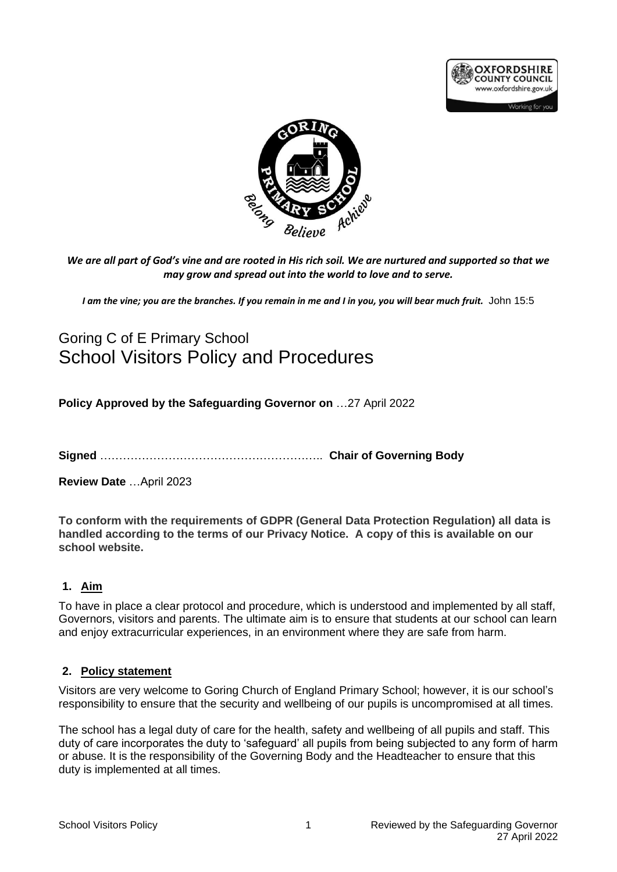



*We are all part of God's vine and are rooted in His rich soil. We are nurtured and supported so that we may grow and spread out into the world to love and to serve.*

*I am the vine; you are the branches. If you remain in me and I in you, you will bear much fruit.* John 15:5

# Goring C of E Primary School School Visitors Policy and Procedures

**Policy Approved by the Safeguarding Governor on** …27 April 2022

**Signed** ………………………………………………….. **Chair of Governing Body**

**Review Date** …April 2023

**To conform with the requirements of GDPR (General Data Protection Regulation) all data is handled according to the terms of our Privacy Notice. A copy of this is available on our school website.**

## **1. Aim**

To have in place a clear protocol and procedure, which is understood and implemented by all staff, Governors, visitors and parents. The ultimate aim is to ensure that students at our school can learn and enjoy extracurricular experiences, in an environment where they are safe from harm.

#### **2. Policy statement**

Visitors are very welcome to Goring Church of England Primary School; however, it is our school's responsibility to ensure that the security and wellbeing of our pupils is uncompromised at all times.

The school has a legal duty of care for the health, safety and wellbeing of all pupils and staff. This duty of care incorporates the duty to 'safeguard' all pupils from being subjected to any form of harm or abuse. It is the responsibility of the Governing Body and the Headteacher to ensure that this duty is implemented at all times.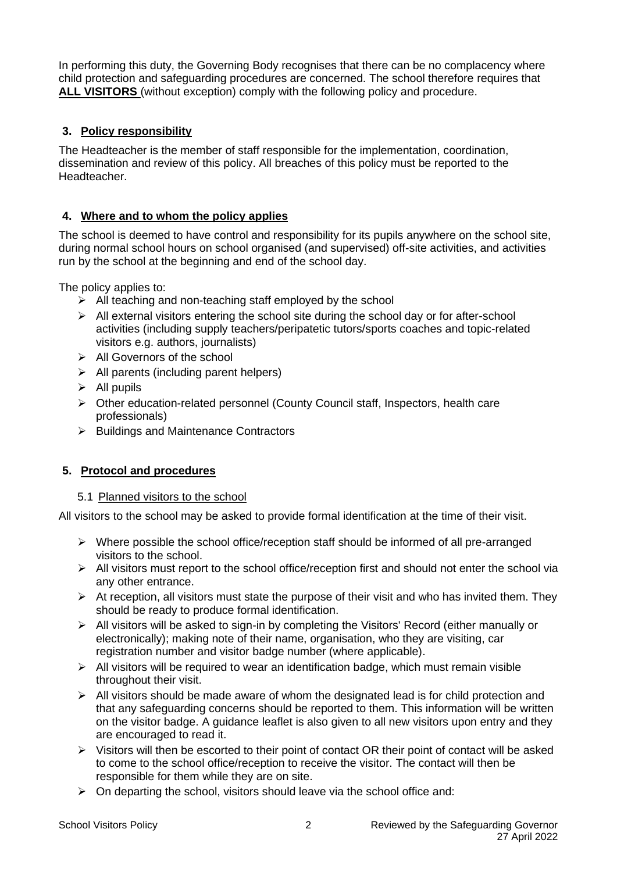In performing this duty, the Governing Body recognises that there can be no complacency where child protection and safeguarding procedures are concerned. The school therefore requires that **ALL VISITORS** (without exception) comply with the following policy and procedure.

## **3. Policy responsibility**

The Headteacher is the member of staff responsible for the implementation, coordination, dissemination and review of this policy. All breaches of this policy must be reported to the Headteacher.

## **4. Where and to whom the policy applies**

The school is deemed to have control and responsibility for its pupils anywhere on the school site, during normal school hours on school organised (and supervised) off-site activities, and activities run by the school at the beginning and end of the school day.

The policy applies to:

- $\geq$  All teaching and non-teaching staff employed by the school
- ➢ All external visitors entering the school site during the school day or for after-school activities (including supply teachers/peripatetic tutors/sports coaches and topic-related visitors e.g. authors, journalists)
- ➢ All Governors of the school
- $\triangleright$  All parents (including parent helpers)
- $\triangleright$  All pupils
- ➢ Other education-related personnel (County Council staff, Inspectors, health care professionals)
- ➢ Buildings and Maintenance Contractors

## **5. Protocol and procedures**

#### 5.1 Planned visitors to the school

All visitors to the school may be asked to provide formal identification at the time of their visit.

- ➢ Where possible the school office/reception staff should be informed of all pre-arranged visitors to the school.
- ➢ All visitors must report to the school office/reception first and should not enter the school via any other entrance.
- $\triangleright$  At reception, all visitors must state the purpose of their visit and who has invited them. They should be ready to produce formal identification.
- $\triangleright$  All visitors will be asked to sign-in by completing the Visitors' Record (either manually or electronically); making note of their name, organisation, who they are visiting, car registration number and visitor badge number (where applicable).
- $\triangleright$  All visitors will be required to wear an identification badge, which must remain visible throughout their visit.
- $\triangleright$  All visitors should be made aware of whom the designated lead is for child protection and that any safeguarding concerns should be reported to them. This information will be written on the visitor badge. A guidance leaflet is also given to all new visitors upon entry and they are encouraged to read it.
- ➢ Visitors will then be escorted to their point of contact OR their point of contact will be asked to come to the school office/reception to receive the visitor. The contact will then be responsible for them while they are on site.
- $\triangleright$  On departing the school, visitors should leave via the school office and: